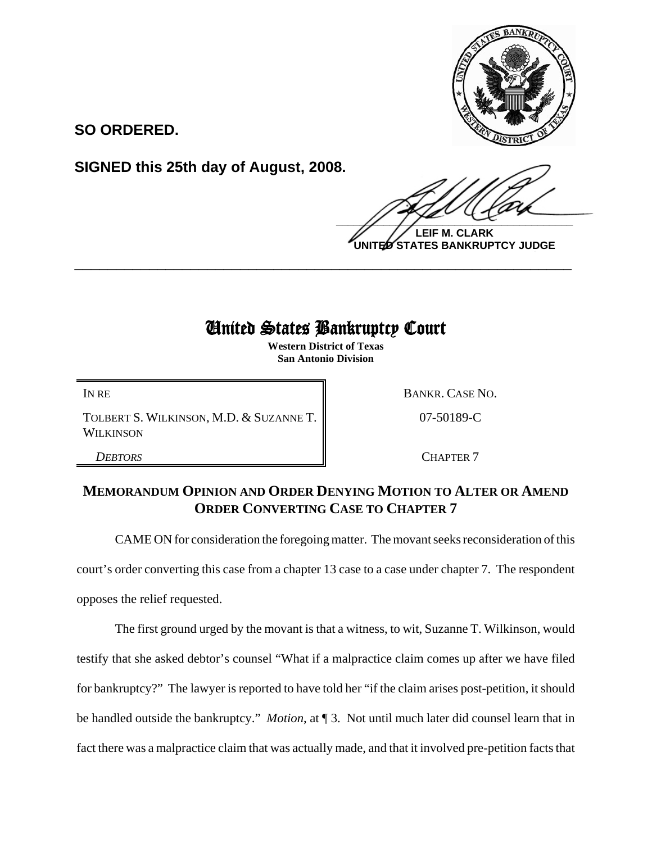

**SO ORDERED.**

**SIGNED this 25th day of August, 2008.**

 $\frac{1}{2}$ 

**LEIF M. CLARK UNITED STATES BANKRUPTCY JUDGE**

## United States Bankruptcy Court

**\_\_\_\_\_\_\_\_\_\_\_\_\_\_\_\_\_\_\_\_\_\_\_\_\_\_\_\_\_\_\_\_\_\_\_\_\_\_\_\_\_\_\_\_\_\_\_\_\_\_\_\_\_\_\_\_\_\_\_\_**

**Western District of Texas San Antonio Division**

TOLBERT S. WILKINSON, M.D. & SUZANNE T. **WILKINSON** 

IN RE BANKR. CASE NO.

07-50189-C

**DEBTORS** CHAPTER 7

## **MEMORANDUM OPINION AND ORDER DENYING MOTION TO ALTER OR AMEND ORDER CONVERTING CASE TO CHAPTER 7**

CAME ON for consideration the foregoing matter. The movant seeks reconsideration of this court's order converting this case from a chapter 13 case to a case under chapter 7. The respondent opposes the relief requested.

The first ground urged by the movant is that a witness, to wit, Suzanne T. Wilkinson, would testify that she asked debtor's counsel "What if a malpractice claim comes up after we have filed for bankruptcy?" The lawyer is reported to have told her "if the claim arises post-petition, it should be handled outside the bankruptcy." *Motion*, at ¶ 3. Not until much later did counsel learn that in fact there was a malpractice claim that was actually made, and that it involved pre-petition facts that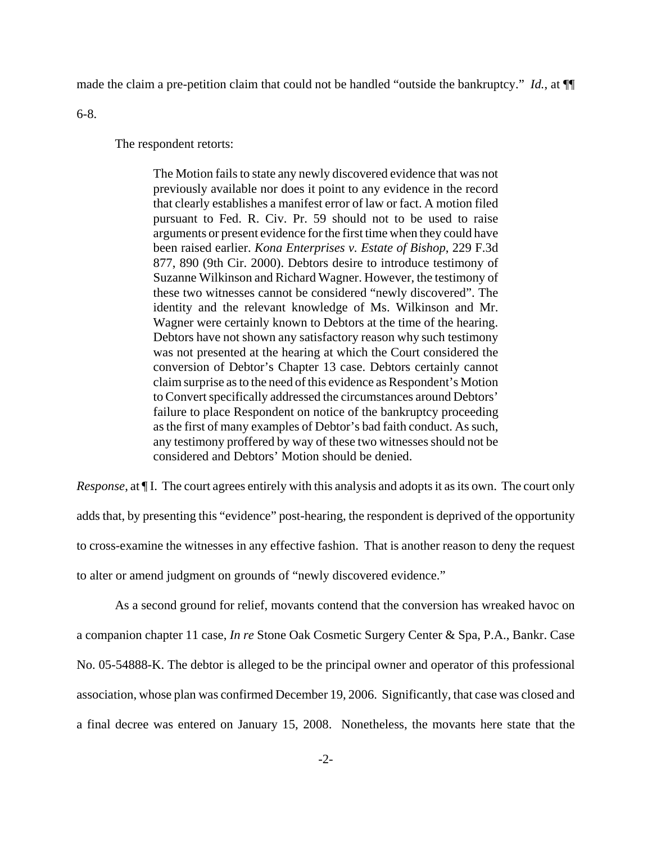made the claim a pre-petition claim that could not be handled "outside the bankruptcy." *Id.*, at ¶¶

6-8.

The respondent retorts:

The Motion fails to state any newly discovered evidence that was not previously available nor does it point to any evidence in the record that clearly establishes a manifest error of law or fact. A motion filed pursuant to Fed. R. Civ. Pr. 59 should not to be used to raise arguments or present evidence for the first time when they could have been raised earlier. *Kona Enterprises v. Estate of Bishop*, 229 F.3d 877, 890 (9th Cir. 2000). Debtors desire to introduce testimony of Suzanne Wilkinson and Richard Wagner. However, the testimony of these two witnesses cannot be considered "newly discovered". The identity and the relevant knowledge of Ms. Wilkinson and Mr. Wagner were certainly known to Debtors at the time of the hearing. Debtors have not shown any satisfactory reason why such testimony was not presented at the hearing at which the Court considered the conversion of Debtor's Chapter 13 case. Debtors certainly cannot claim surprise as to the need of this evidence as Respondent's Motion to Convert specifically addressed the circumstances around Debtors' failure to place Respondent on notice of the bankruptcy proceeding as the first of many examples of Debtor's bad faith conduct. As such, any testimony proffered by way of these two witnesses should not be considered and Debtors' Motion should be denied.

*Response*, at  $\P$ I. The court agrees entirely with this analysis and adopts it as its own. The court only adds that, by presenting this "evidence" post-hearing, the respondent is deprived of the opportunity to cross-examine the witnesses in any effective fashion. That is another reason to deny the request to alter or amend judgment on grounds of "newly discovered evidence."

As a second ground for relief, movants contend that the conversion has wreaked havoc on a companion chapter 11 case, *In re* Stone Oak Cosmetic Surgery Center & Spa, P.A., Bankr. Case No. 05-54888-K. The debtor is alleged to be the principal owner and operator of this professional association, whose plan was confirmed December 19, 2006. Significantly, that case was closed and a final decree was entered on January 15, 2008. Nonetheless, the movants here state that the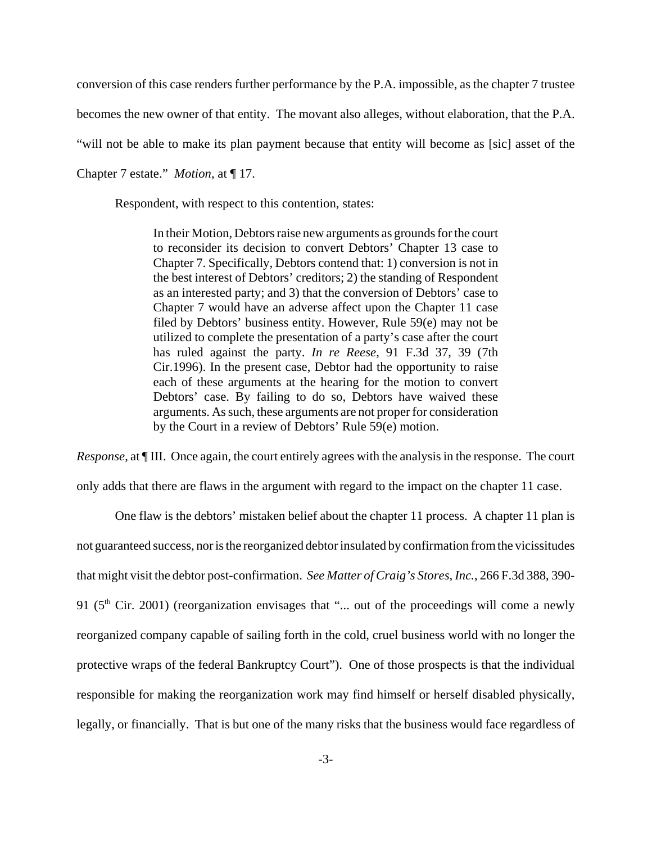conversion of this case renders further performance by the P.A. impossible, as the chapter 7 trustee

becomes the new owner of that entity. The movant also alleges, without elaboration, that the P.A.

"will not be able to make its plan payment because that entity will become as [sic] asset of the

Chapter 7 estate." *Motion*, at ¶ 17.

Respondent, with respect to this contention, states:

In their Motion, Debtors raise new arguments as grounds for the court to reconsider its decision to convert Debtors' Chapter 13 case to Chapter 7. Specifically, Debtors contend that: 1) conversion is not in the best interest of Debtors' creditors; 2) the standing of Respondent as an interested party; and 3) that the conversion of Debtors' case to Chapter 7 would have an adverse affect upon the Chapter 11 case filed by Debtors' business entity. However, Rule 59(e) may not be utilized to complete the presentation of a party's case after the court has ruled against the party. *In re Reese*, 91 F.3d 37, 39 (7th Cir.1996). In the present case, Debtor had the opportunity to raise each of these arguments at the hearing for the motion to convert Debtors' case. By failing to do so, Debtors have waived these arguments. As such, these arguments are not proper for consideration by the Court in a review of Debtors' Rule 59(e) motion.

*Response*, at ¶ III. Once again, the court entirely agrees with the analysis in the response. The court only adds that there are flaws in the argument with regard to the impact on the chapter 11 case.

One flaw is the debtors' mistaken belief about the chapter 11 process. A chapter 11 plan is not guaranteed success, nor is the reorganized debtor insulated by confirmation from the vicissitudes that might visit the debtor post-confirmation. *See Matter of Craig's Stores, Inc.*, 266 F.3d 388, 390- 91 ( $5<sup>th</sup>$  Cir. 2001) (reorganization envisages that "... out of the proceedings will come a newly reorganized company capable of sailing forth in the cold, cruel business world with no longer the protective wraps of the federal Bankruptcy Court"). One of those prospects is that the individual responsible for making the reorganization work may find himself or herself disabled physically, legally, or financially. That is but one of the many risks that the business would face regardless of